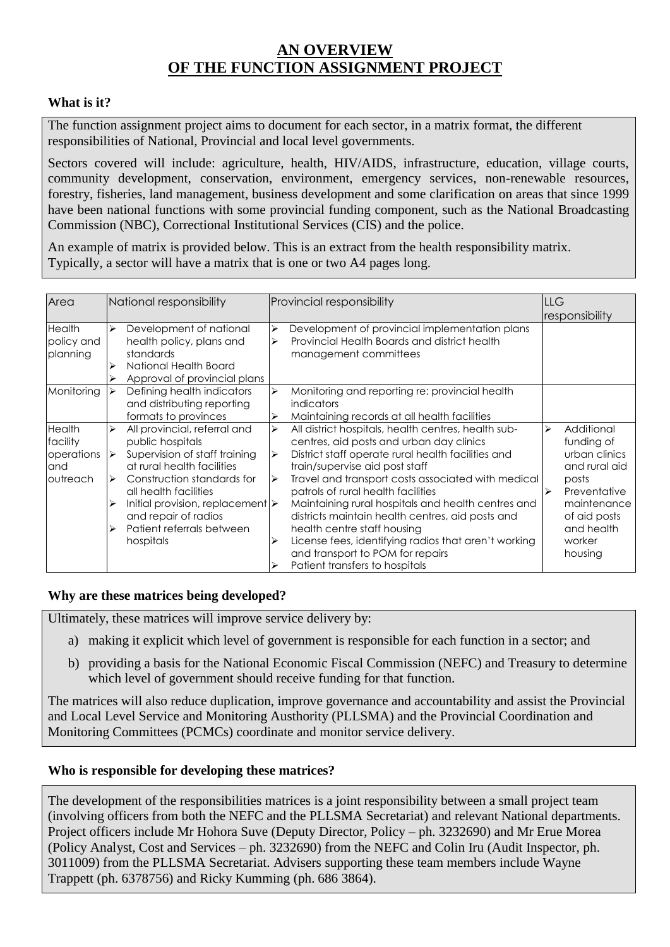# **AN OVERVIEW OF THE FUNCTION ASSIGNMENT PROJECT**

## **What is it?**

The function assignment project aims to document for each sector, in a matrix format, the different responsibilities of National, Provincial and local level governments.

Sectors covered will include: agriculture, health, HIV/AIDS, infrastructure, education, village courts, community development, conservation, environment, emergency services, non-renewable resources, forestry, fisheries, land management, business development and some clarification on areas that since 1999 have been national functions with some provincial funding component, such as the National Broadcasting Commission (NBC), Correctional Institutional Services (CIS) and the police.

An example of matrix is provided below. This is an extract from the health responsibility matrix. Typically, a sector will have a matrix that is one or two A4 pages long.

| Area                                                        | National responsibility          |                                                                                                                                                                                                                                                                                             | <b>Provincial responsibility</b>     |                                                                                                                                                                                                                                                                                                                                                                                                                                                                                                                                                            | <b>LLG</b> |                                                                                                                                                       |
|-------------------------------------------------------------|----------------------------------|---------------------------------------------------------------------------------------------------------------------------------------------------------------------------------------------------------------------------------------------------------------------------------------------|--------------------------------------|------------------------------------------------------------------------------------------------------------------------------------------------------------------------------------------------------------------------------------------------------------------------------------------------------------------------------------------------------------------------------------------------------------------------------------------------------------------------------------------------------------------------------------------------------------|------------|-------------------------------------------------------------------------------------------------------------------------------------------------------|
|                                                             |                                  |                                                                                                                                                                                                                                                                                             |                                      |                                                                                                                                                                                                                                                                                                                                                                                                                                                                                                                                                            |            | responsibility                                                                                                                                        |
| <b>Health</b><br>policy and<br>planning                     | ⋗                                | Development of national<br>health policy, plans and<br>standards<br>National Health Board<br>Approval of provincial plans                                                                                                                                                                   | ⋗                                    | Development of provincial implementation plans<br>Provincial Health Boards and district health<br>management committees                                                                                                                                                                                                                                                                                                                                                                                                                                    |            |                                                                                                                                                       |
| Monitoring                                                  |                                  | Defining health indicators<br>and distributing reporting<br>formats to provinces                                                                                                                                                                                                            | ⋗<br>⋗                               | Monitoring and reporting re: provincial health<br><i>indicators</i><br>Maintaining records at all health facilities                                                                                                                                                                                                                                                                                                                                                                                                                                        |            |                                                                                                                                                       |
| <b>Health</b><br>facility<br>operations<br>and<br>loutreach | ⋗<br>∣≽<br>$\blacktriangleright$ | All provincial, referral and<br>public hospitals<br>Supervision of staff training<br>at rural health facilities<br>Construction standards for<br>all health facilities<br>Initial provision, replacement $\triangleright$<br>and repair of radios<br>Patient referrals between<br>hospitals | ⋗<br>⋗<br>$\blacktriangleright$<br>⋗ | All district hospitals, health centres, health sub-<br>centres, aid posts and urban day clinics<br>District staff operate rural health facilities and<br>train/supervise aid post staff<br>Travel and transport costs associated with medical<br>patrols of rural health facilities<br>Maintaining rural hospitals and health centres and<br>districts maintain health centres, aid posts and<br>health centre staff housing<br>License fees, identifying radios that aren't working<br>and transport to POM for repairs<br>Patient transfers to hospitals | ↘          | Additional<br>funding of<br>urban clinics<br>and rural aid<br>posts<br>Preventative<br>maintenance<br>of aid posts<br>and health<br>worker<br>housing |

### **Why are these matrices being developed?**

Ultimately, these matrices will improve service delivery by:

- a) making it explicit which level of government is responsible for each function in a sector; and
- b) providing a basis for the National Economic Fiscal Commission (NEFC) and Treasury to determine which level of government should receive funding for that function.

The matrices will also reduce duplication, improve governance and accountability and assist the Provincial and Local Level Service and Monitoring Austhority (PLLSMA) and the Provincial Coordination and Monitoring Committees (PCMCs) coordinate and monitor service delivery.

### **Who is responsible for developing these matrices?**

The development of the responsibilities matrices is a joint responsibility between a small project team (involving officers from both the NEFC and the PLLSMA Secretariat) and relevant National departments. Project officers include Mr Hohora Suve (Deputy Director, Policy – ph. 3232690) and Mr Erue Morea (Policy Analyst, Cost and Services – ph. 3232690) from the NEFC and Colin Iru (Audit Inspector, ph. 3011009) from the PLLSMA Secretariat. Advisers supporting these team members include Wayne Trappett (ph. 6378756) and Ricky Kumming (ph. 686 3864).